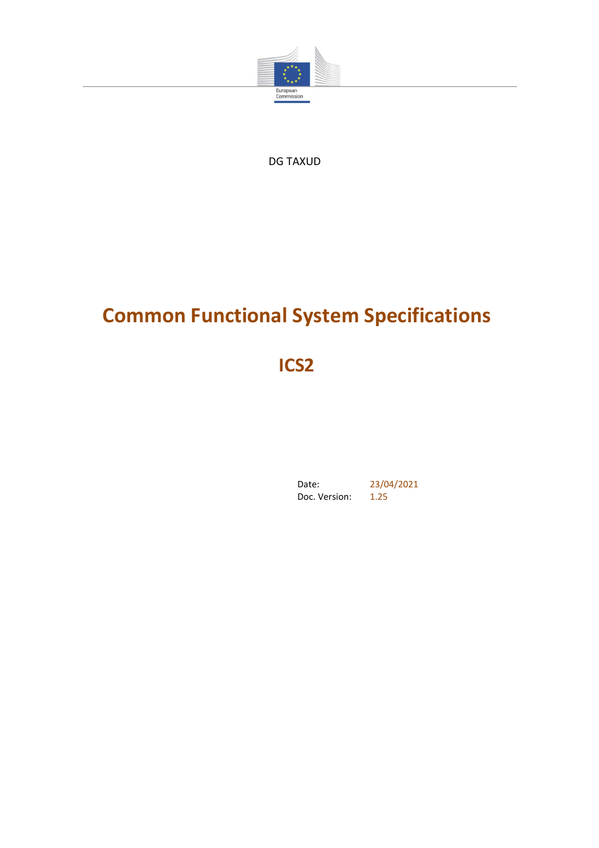

DG TAXUD

# **Common Functional System Specifications**

**ICS2**

Date: 23/04/2021 Doc. Version: 1.25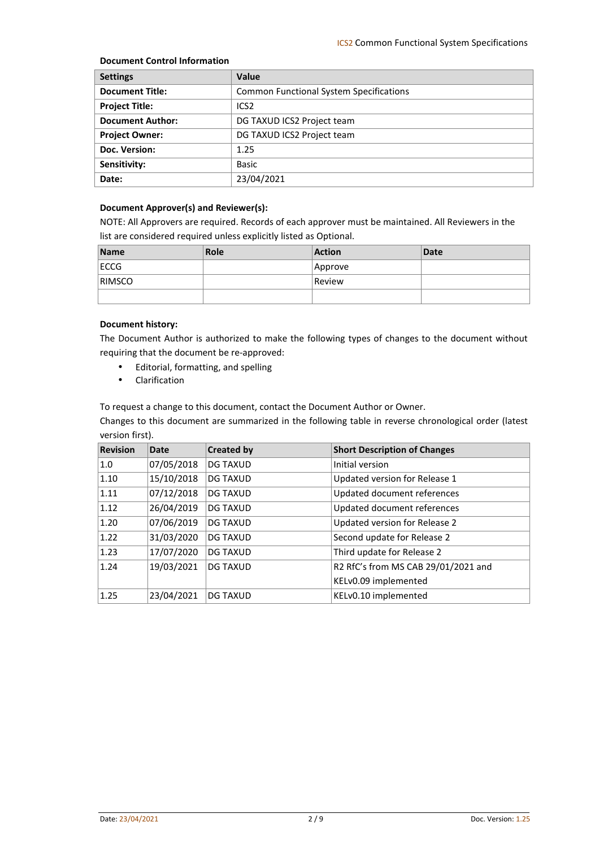#### **Document Control Information**

| <b>Settings</b>         | Value                                          |
|-------------------------|------------------------------------------------|
| <b>Document Title:</b>  | <b>Common Functional System Specifications</b> |
| <b>Project Title:</b>   | ICS <sub>2</sub>                               |
| <b>Document Author:</b> | DG TAXUD ICS2 Project team                     |
| <b>Project Owner:</b>   | DG TAXUD ICS2 Project team                     |
| Doc. Version:           | 1.25                                           |
| Sensitivity:            | <b>Basic</b>                                   |
| Date:                   | 23/04/2021                                     |

#### **Document Approver(s) and Reviewer(s):**

NOTE: All Approvers are required. Records of each approver must be maintained. All Reviewers in the list are considered required unless explicitly listed as Optional.

| <b>Name</b>   | Role | <b>Action</b> | <b>Date</b> |
|---------------|------|---------------|-------------|
| <b>ECCG</b>   |      | Approve       |             |
| <b>RIMSCO</b> |      | Review        |             |
|               |      |               |             |

#### **Document history:**

The Document Author is authorized to make the following types of changes to the document without requiring that the document be re-approved:

- Editorial, formatting, and spelling
- Clarification

To request a change to this document, contact the Document Author or Owner.

Changes to this document are summarized in the following table in reverse chronological order (latest version first).

| <b>Revision</b> | <b>Date</b> | <b>Created by</b> | <b>Short Description of Changes</b> |
|-----------------|-------------|-------------------|-------------------------------------|
| 1.0             | 07/05/2018  | <b>DG TAXUD</b>   | Initial version                     |
| 1.10            | 15/10/2018  | <b>DG TAXUD</b>   | Updated version for Release 1       |
| 1.11            | 07/12/2018  | <b>DG TAXUD</b>   | Updated document references         |
| 1.12            | 26/04/2019  | <b>DG TAXUD</b>   | Updated document references         |
| 1.20            | 07/06/2019  | <b>DG TAXUD</b>   | Updated version for Release 2       |
| 1.22            | 31/03/2020  | <b>DG TAXUD</b>   | Second update for Release 2         |
| 1.23            | 17/07/2020  | <b>DG TAXUD</b>   | Third update for Release 2          |
| 1.24            | 19/03/2021  | <b>DG TAXUD</b>   | R2 RfC's from MS CAB 29/01/2021 and |
|                 |             |                   | KELv0.09 implemented                |
| 1.25            | 23/04/2021  | <b>DG TAXUD</b>   | KELv0.10 implemented                |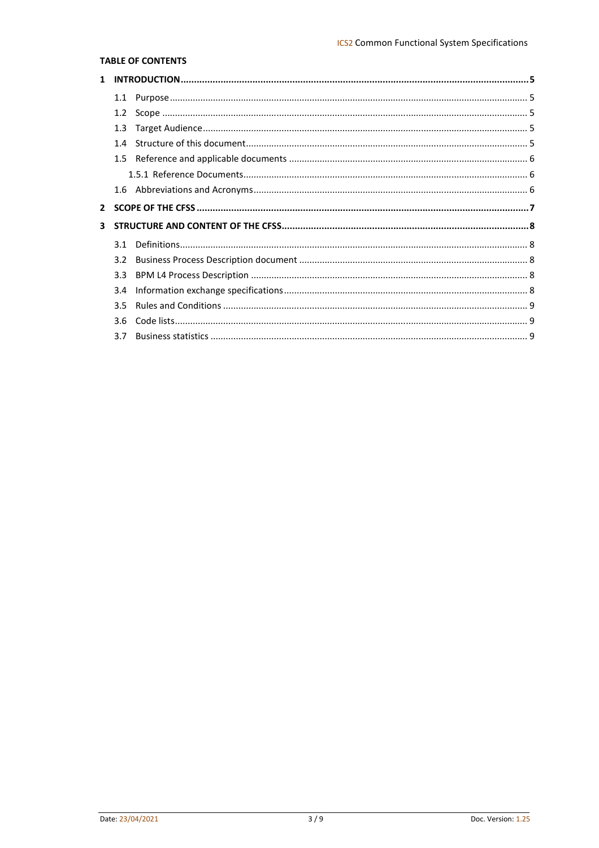#### **TABLE OF CONTENTS**

|              | 1.1              |  |
|--------------|------------------|--|
|              | 1.2              |  |
|              | 1.3              |  |
|              | 14               |  |
|              |                  |  |
|              |                  |  |
|              |                  |  |
|              |                  |  |
| $\mathbf{2}$ |                  |  |
| 3            |                  |  |
|              | 31               |  |
|              | 3.2 <sub>2</sub> |  |
|              | 3.3              |  |
|              | 3.4              |  |
|              | 3.5              |  |
|              | 3.6              |  |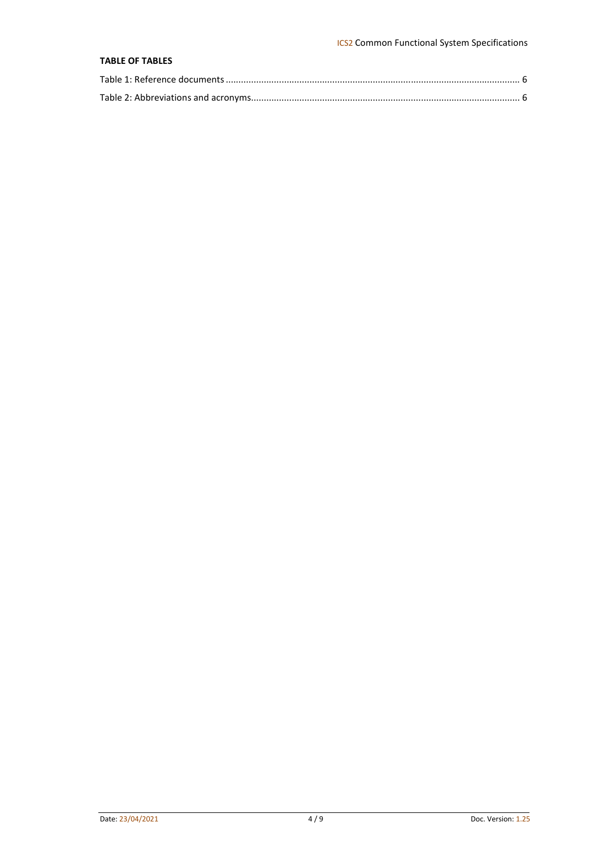#### **TABLE OF TABLES**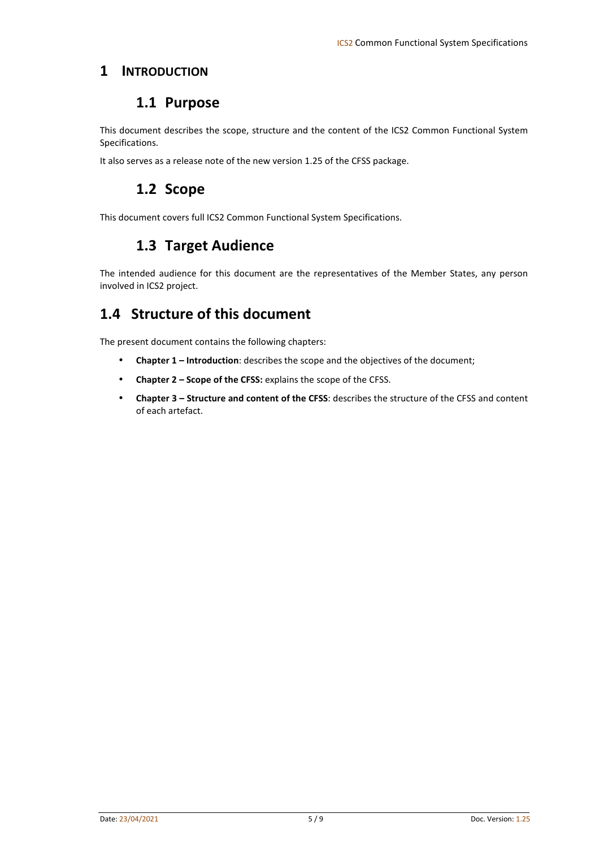#### **1 INTRODUCTION**

#### **1.1 Purpose**

This document describes the scope, structure and the content of the ICS2 Common Functional System Specifications.

It also serves as a release note of the new version 1.25 of the CFSS package.

### **1.2 Scope**

This document covers full ICS2 Common Functional System Specifications.

# **1.3 Target Audience**

The intended audience for this document are the representatives of the Member States, any person involved in ICS2 project.

# **1.4 Structure of this document**

The present document contains the following chapters:

- **Chapter 1 Introduction**: describes the scope and the objectives of the document;
- **Chapter 2 Scope of the CFSS:** explains the scope of the CFSS.
- **Chapter 3 Structure and content of the CFSS**: describes the structure of the CFSS and content of each artefact.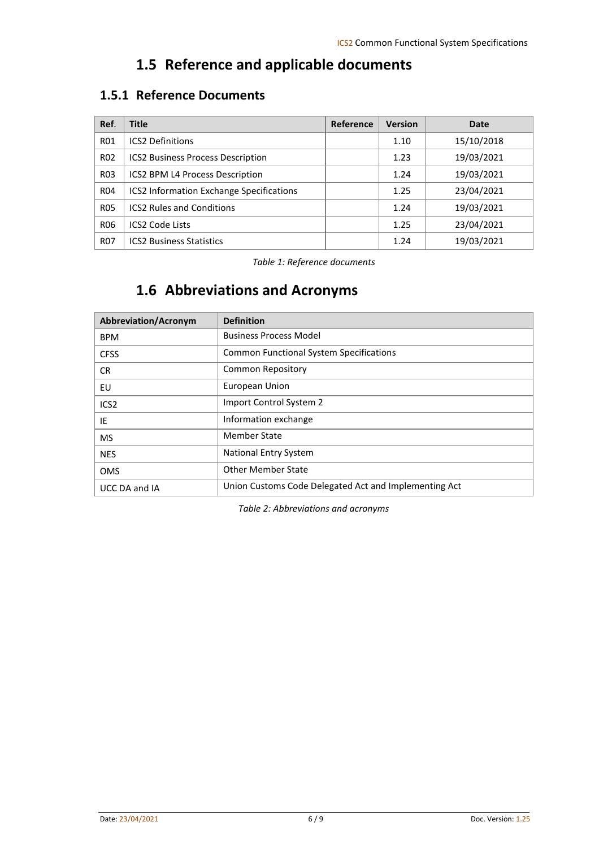# **1.5 Reference and applicable documents**

### **1.5.1 Reference Documents**

| Ref.            | <b>Title</b>                                    | Reference | <b>Version</b> | Date       |
|-----------------|-------------------------------------------------|-----------|----------------|------------|
| <b>R01</b>      | <b>ICS2 Definitions</b>                         |           | 1.10           | 15/10/2018 |
| <b>R02</b>      | <b>ICS2 Business Process Description</b>        |           | 1.23           | 19/03/2021 |
| <b>R03</b>      | ICS2 BPM L4 Process Description                 |           | 1.24           | 19/03/2021 |
| R <sub>04</sub> | <b>ICS2 Information Exchange Specifications</b> |           | 1.25           | 23/04/2021 |
| <b>R05</b>      | <b>ICS2 Rules and Conditions</b>                |           | 1.24           | 19/03/2021 |
| <b>R06</b>      | <b>ICS2 Code Lists</b>                          |           | 1.25           | 23/04/2021 |
| R <sub>07</sub> | <b>ICS2 Business Statistics</b>                 |           | 1.24           | 19/03/2021 |

*Table 1: Reference documents* 

# **1.6 Abbreviations and Acronyms**

| <b>Abbreviation/Acronym</b> | <b>Definition</b>                                     |
|-----------------------------|-------------------------------------------------------|
| <b>BPM</b>                  | <b>Business Process Model</b>                         |
| <b>CFSS</b>                 | <b>Common Functional System Specifications</b>        |
| CR.                         | Common Repository                                     |
| EU                          | European Union                                        |
| ICS <sub>2</sub>            | Import Control System 2                               |
| IE                          | Information exchange                                  |
| <b>MS</b>                   | <b>Member State</b>                                   |
| <b>NES</b>                  | National Entry System                                 |
| <b>OMS</b>                  | <b>Other Member State</b>                             |
| UCC DA and IA               | Union Customs Code Delegated Act and Implementing Act |

*Table 2: Abbreviations and acronyms*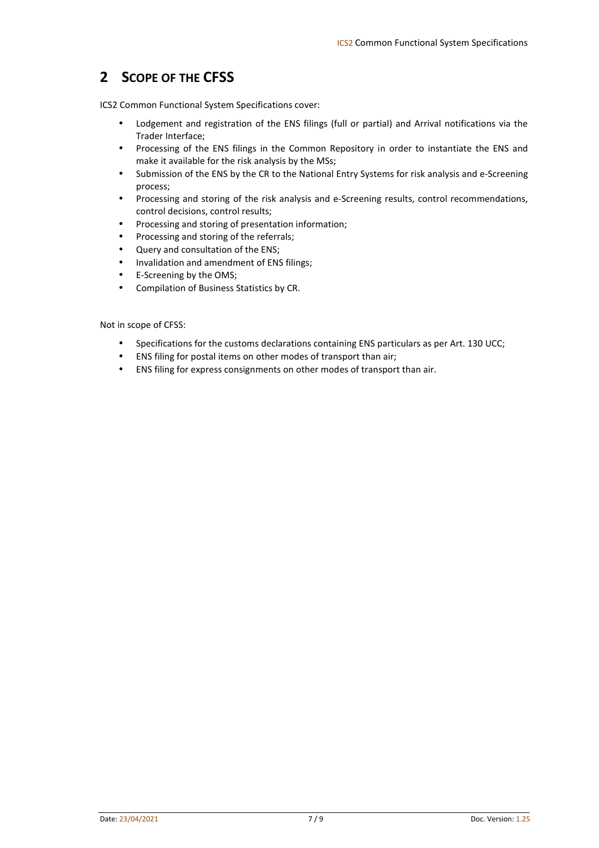# **2 SCOPE OF THE CFSS**

ICS2 Common Functional System Specifications cover:

- Lodgement and registration of the ENS filings (full or partial) and Arrival notifications via the Trader Interface;
- Processing of the ENS filings in the Common Repository in order to instantiate the ENS and make it available for the risk analysis by the MSs;
- Submission of the ENS by the CR to the National Entry Systems for risk analysis and e-Screening process;
- Processing and storing of the risk analysis and e-Screening results, control recommendations, control decisions, control results;
- Processing and storing of presentation information;
- Processing and storing of the referrals;
- Query and consultation of the ENS;
- Invalidation and amendment of ENS filings;
- E-Screening by the OMS;
- Compilation of Business Statistics by CR.

Not in scope of CFSS:

- Specifications for the customs declarations containing ENS particulars as per Art. 130 UCC;
- ENS filing for postal items on other modes of transport than air;
- ENS filing for express consignments on other modes of transport than air.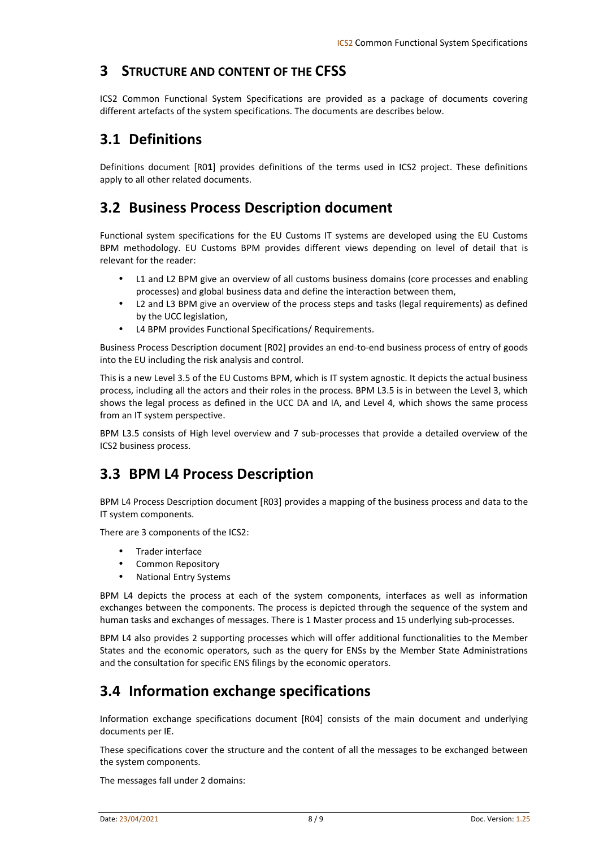### **3 STRUCTURE AND CONTENT OF THE CFSS**

ICS2 Common Functional System Specifications are provided as a package of documents covering different artefacts of the system specifications. The documents are describes below.

# **3.1 Definitions**

Definitions document [R0**1**] provides definitions of the terms used in ICS2 project. These definitions apply to all other related documents.

# **3.2 Business Process Description document**

Functional system specifications for the EU Customs IT systems are developed using the EU Customs BPM methodology. EU Customs BPM provides different views depending on level of detail that is relevant for the reader:

- L1 and L2 BPM give an overview of all customs business domains (core processes and enabling processes) and global business data and define the interaction between them,
- L2 and L3 BPM give an overview of the process steps and tasks (legal requirements) as defined by the UCC legislation,
- L4 BPM provides Functional Specifications/ Requirements.

Business Process Description document [R02] provides an end-to-end business process of entry of goods into the EU including the risk analysis and control.

This is a new Level 3.5 of the EU Customs BPM, which is IT system agnostic. It depicts the actual business process, including all the actors and their roles in the process. BPM L3.5 is in between the Level 3, which shows the legal process as defined in the UCC DA and IA, and Level 4, which shows the same process from an IT system perspective.

BPM L3.5 consists of High level overview and 7 sub-processes that provide a detailed overview of the ICS2 business process.

# **3.3 BPM L4 Process Description**

BPM L4 Process Description document [R03] provides a mapping of the business process and data to the IT system components.

There are 3 components of the ICS2:

- Trader interface
- Common Repository
- National Entry Systems

BPM L4 depicts the process at each of the system components, interfaces as well as information exchanges between the components. The process is depicted through the sequence of the system and human tasks and exchanges of messages. There is 1 Master process and 15 underlying sub-processes.

BPM L4 also provides 2 supporting processes which will offer additional functionalities to the Member States and the economic operators, such as the query for ENSs by the Member State Administrations and the consultation for specific ENS filings by the economic operators.

### **3.4 Information exchange specifications**

Information exchange specifications document [R04] consists of the main document and underlying documents per IE.

These specifications cover the structure and the content of all the messages to be exchanged between the system components.

The messages fall under 2 domains: